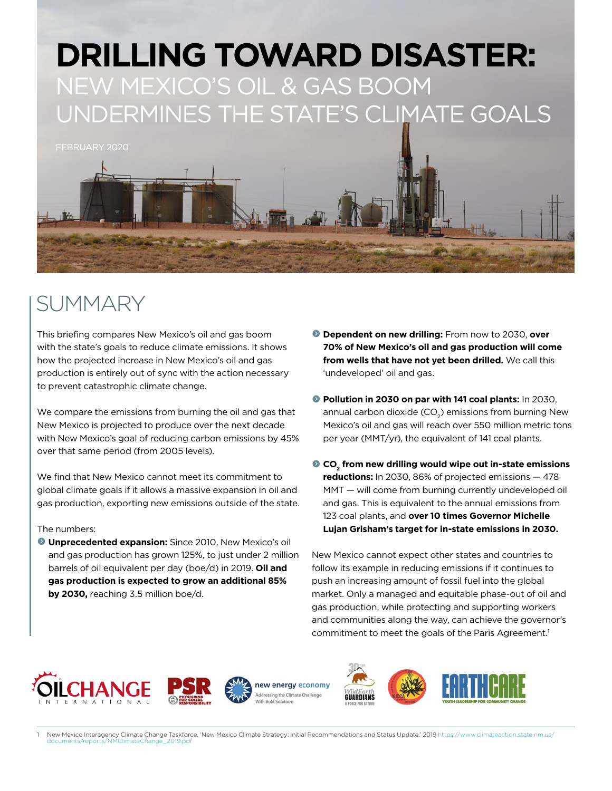

### SUMMARY

This briefing compares New Mexico's oil and gas boom with the state's goals to reduce climate emissions. It shows how the projected increase in New Mexico's oil and gas production is entirely out of sync with the action necessary to prevent catastrophic climate change.

We compare the emissions from burning the oil and gas that New Mexico is projected to produce over the next decade with New Mexico's goal of reducing carbon emissions by 45% over that same period (from 2005 levels).

We find that New Mexico cannot meet its commitment to global climate goals if it allows a massive expansion in oil and gas production, exporting new emissions outside of the state.

#### The numbers:

**O Unprecedented expansion:** Since 2010, New Mexico's oil and gas production has grown 125%, to just under 2 million barrels of oil equivalent per day (boe/d) in 2019. **Oil and gas production is expected to grow an additional 85% by 2030,** reaching 3.5 million boe/d.

- $\bullet$  **Dependent on new drilling:** From now to 2030, over **70% of New Mexico's oil and gas production will come from wells that have not yet been drilled.** We call this 'undeveloped' oil and gas.
- **Pollution in 2030 on par with 141 coal plants:** In 2030, annual carbon dioxide (CO<sub>2</sub>) emissions from burning New Mexico's oil and gas will reach over 550 million metric tons per year (MMT/yr), the equivalent of 141 coal plants.
- **O** CO<sub>2</sub> from new drilling would wipe out in-state emissions **reductions:** In 2030, 86% of projected emissions — 478 MMT — will come from burning currently undeveloped oil and gas. This is equivalent to the annual emissions from 123 coal plants, and **over 10 times Governor Michelle Lujan Grisham's target for in-state emissions in 2030.**

New Mexico cannot expect other states and countries to follow its example in reducing emissions if it continues to push an increasing amount of fossil fuel into the global market. Only a managed and equitable phase-out of oil and gas production, while protecting and supporting workers and communities along the way, can achieve the governor's commitment to meet the goals of the Paris Agreement.<sup>1</sup>





<sup>1</sup> New Mexico Interagency Climate Change Taskforce, 'New Mexico Climate Strategy: Initial Recommendations and Status Update.' 2019 [https://www.climateaction.state.nm.us/](https://www.climateaction.state.nm.us/documents/reports/NMClimateChange_2019.pdf) [documents/reports/NMClimateChange\\_2019.pdf](https://www.climateaction.state.nm.us/documents/reports/NMClimateChange_2019.pdf)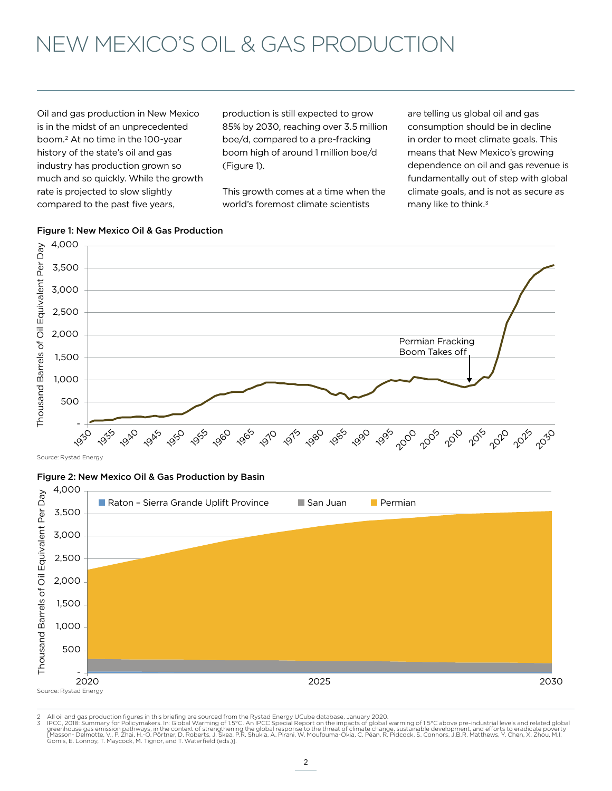# NEW MEXICO'S OIL & GAS PRODUCTION

Oil and gas production in New Mexico is in the midst of an unprecedented boom.2 At no time in the 100-year history of the state's oil and gas industry has production grown so much and so quickly. While the growth rate is projected to slow slightly compared to the past five years,

production is still expected to grow 85% by 2030, reaching over 3.5 million boe/d, compared to a pre-fracking boom high of around 1 million boe/d (Figure 1).

This growth comes at a time when the world's foremost climate scientists

are telling us global oil and gas consumption should be in decline in order to meet climate goals. This means that New Mexico's growing dependence on oil and gas revenue is fundamentally out of step with global climate goals, and is not as secure as many like to think.<sup>3</sup>



### Figure 1: New Mexico Oil & Gas Production

Source: Rystad Energy

#### Figure 2: New Mexico Oil & Gas Production by Basin



2 All oil and gas production figures in this briefing are sourced from the Rystad Energy UCube database, January 2020.<br>3 PPC, 2018: Summary for Policymakers. In: Global Warming of 1.5°C. An IPCC Special Report on the impac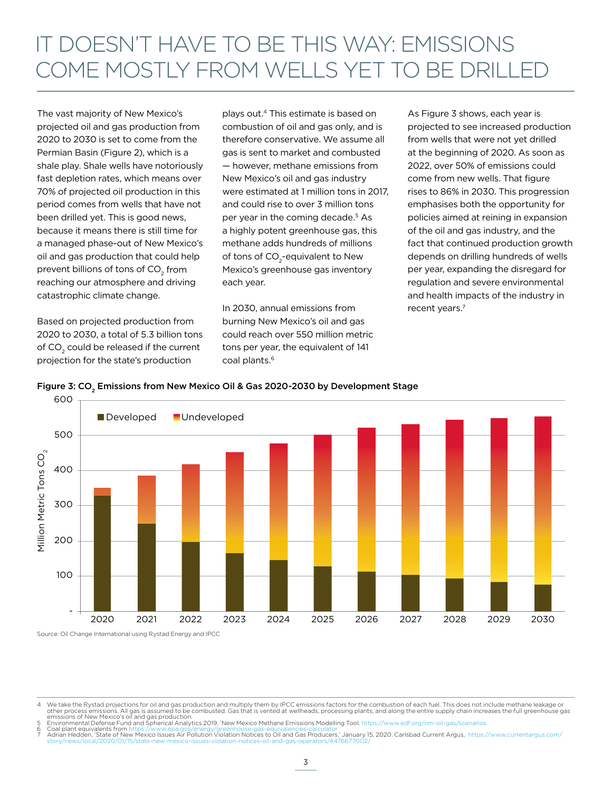# IT DOESN'T HAVE TO BE THIS WAY: EMISSIONS COME MOSTLY FROM WELLS YET TO BE DRILLED

The vast majority of New Mexico's projected oil and gas production from 2020 to 2030 is set to come from the Permian Basin (Figure 2), which is a shale play. Shale wells have notoriously fast depletion rates, which means over 70% of projected oil production in this period comes from wells that have not been drilled yet. This is good news, because it means there is still time for a managed phase-out of New Mexico's oil and gas production that could help prevent billions of tons of  $\mathsf{CO}_2^{}$  from reaching our atmosphere and driving catastrophic climate change.

Based on projected production from 2020 to 2030, a total of 5.3 billion tons of CO<sub>2</sub> could be released if the current projection for the state's production

plays out.4 This estimate is based on combustion of oil and gas only, and is therefore conservative. We assume all gas is sent to market and combusted — however, methane emissions from New Mexico's oil and gas industry were estimated at 1 million tons in 2017, and could rise to over 3 million tons per year in the coming decade.<sup>5</sup> As a highly potent greenhouse gas, this methane adds hundreds of millions of tons of  $CO_2$ -equivalent to New Mexico's greenhouse gas inventory each year.

In 2030, annual emissions from burning New Mexico's oil and gas could reach over 550 million metric tons per year, the equivalent of 141 coal plants.<sup>6</sup>

As Figure 3 shows, each year is projected to see increased production from wells that were not yet drilled at the beginning of 2020. As soon as 2022, over 50% of emissions could come from new wells. That figure rises to 86% in 2030. This progression emphasises both the opportunity for policies aimed at reining in expansion of the oil and gas industry, and the fact that continued production growth depends on drilling hundreds of wells per year, expanding the disregard for regulation and severe environmental and health impacts of the industry in recent years.<sup>7</sup>



#### Figure 3: CO<sub>2</sub> Emissions from New Mexico Oil & Gas 2020-2030 by Development Stage

4 We take the Rystad projections for oil and gas production and multiply them by IPCC emissions factors for the combustion of each fuel. This does not include methane leakage or other process emissions. All gas is assumed to be combusted. Gas that is vented at wellheads, processing plants, and along the entire supply chain increases the full greenhouse gas<br>emissions of New Mexico's oil and Spheric

6 Coal plant equivalents from<https://www.epa.gov/energy/greenhouse-gas-equivalencies-calculator><br>7 Adrian Hedden, 'State of New Mexico Issues Air Pollution Violation Notices to Oil and Gas Producers.' January 15, 2020. Car [story/news/local/2020/01/15/state-new-mexico-issues-violation-notices-oil-and-gas-operators/4476677002/](https://www.currentargus.com/story/news/local/2020/01/15/state-new-mexico-issues-violation-notices-oil-and-gas-operators/4476677002/)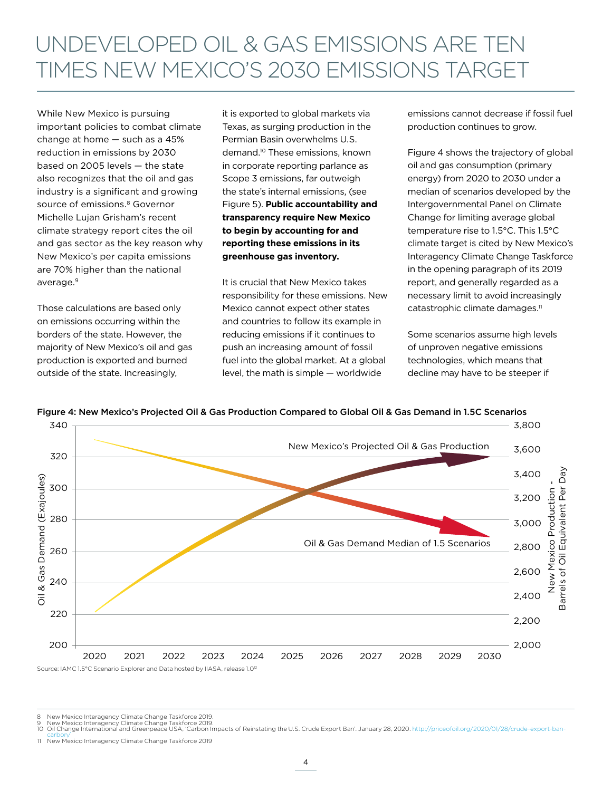## UNDEVELOPED OIL & GAS EMISSIONS ARE TEN TIMES NEW MEXICO'S 2030 EMISSIONS TARGET

While New Mexico is pursuing important policies to combat climate change at home — such as a 45% reduction in emissions by 2030 based on 2005 levels — the state also recognizes that the oil and gas industry is a significant and growing source of emissions.<sup>8</sup> Governor Michelle Lujan Grisham's recent climate strategy report cites the oil and gas sector as the key reason why New Mexico's per capita emissions are 70% higher than the national average.<sup>9</sup>

Those calculations are based only on emissions occurring within the borders of the state. However, the majority of New Mexico's oil and gas production is exported and burned outside of the state. Increasingly,

it is exported to global markets via Texas, as surging production in the Permian Basin overwhelms U.S. demand.10 These emissions, known in corporate reporting parlance as Scope 3 emissions, far outweigh the state's internal emissions, (see Figure 5). **Public accountability and transparency require New Mexico to begin by accounting for and reporting these emissions in its greenhouse gas inventory.**

It is crucial that New Mexico takes responsibility for these emissions. New Mexico cannot expect other states and countries to follow its example in reducing emissions if it continues to push an increasing amount of fossil fuel into the global market. At a global level, the math is simple — worldwide

emissions cannot decrease if fossil fuel production continues to grow.

Figure 4 shows the trajectory of global oil and gas consumption (primary energy) from 2020 to 2030 under a median of scenarios developed by the Intergovernmental Panel on Climate Change for limiting average global temperature rise to 1.5°C. This 1.5°C climate target is cited by New Mexico's Interagency Climate Change Taskforce in the opening paragraph of its 2019 report, and generally regarded as a necessary limit to avoid increasingly catastrophic climate damages.<sup>11</sup>

Some scenarios assume high levels of unproven negative emissions technologies, which means that decline may have to be steeper if



Figure 4: New Mexico's Projected Oil & Gas Production Compared to Global Oil & Gas Demand in 1.5C Scenarios

8 New Mexico Interagency Climate Change Taskforce 2019. 9 New Mexico Interagency Climate Change Taskforce 2019.

10 Oil Change International and Greenpeace USA, 'Carbon Impacts of Reinstating the U.S. Crude Export Ban'. January 28, 2020. [http://priceofoil.org/2020/01/28/crude-export-ban-](http://priceofoil.org/2020/01/28/crude-export-ban-carbon/)

[carbon/](http://priceofoil.org/2020/01/28/crude-export-ban-carbon/) 11 New Mexico Interagency Climate Change Taskforce 2019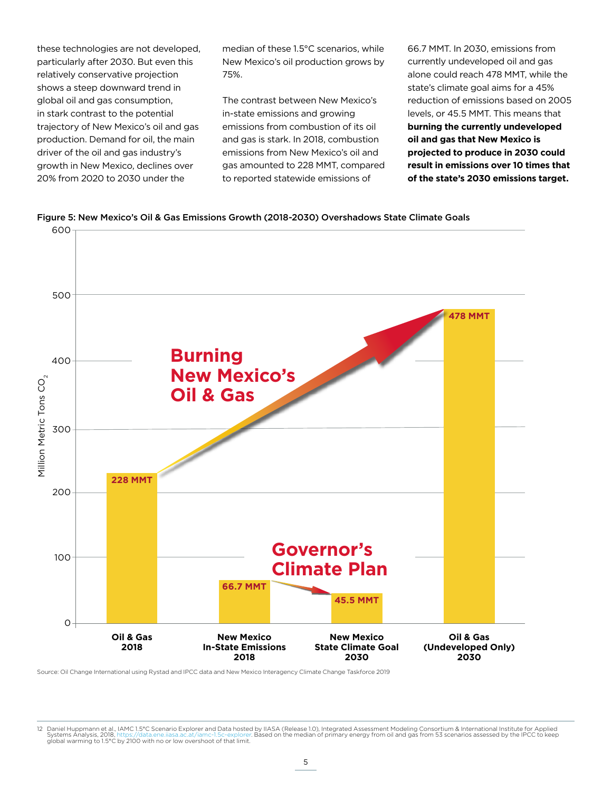these technologies are not developed, particularly after 2030. But even this relatively conservative projection shows a steep downward trend in global oil and gas consumption, in stark contrast to the potential trajectory of New Mexico's oil and gas production. Demand for oil, the main driver of the oil and gas industry's growth in New Mexico, declines over 20% from 2020 to 2030 under the

median of these 1.5°C scenarios, while New Mexico's oil production grows by 75%.

The contrast between New Mexico's in-state emissions and growing emissions from combustion of its oil and gas is stark. In 2018, combustion emissions from New Mexico's oil and gas amounted to 228 MMT, compared to reported statewide emissions of

66.7 MMT. In 2030, emissions from currently undeveloped oil and gas alone could reach 478 MMT, while the state's climate goal aims for a 45% reduction of emissions based on 2005 levels, or 45.5 MMT. This means that **burning the currently undeveloped oil and gas that New Mexico is projected to produce in 2030 could result in emissions over 10 times that of the state's 2030 emissions target.**





Source: Oil Change International using Rystad and IPCC data and New Mexico Interagency Climate Change Taskforce 2019

<sup>12</sup> Daniel Huppmann et al., IAMC 1.5°C Scenario Explorer and Data hosted by IIASA (Release 1.0), Integrated Assessment Modeling Consortium & International Institute for Applied<br>Systems Analysis, 2018, https://data.ene.iiasa global warming to 1.5°C by 2100 with no or low overshoot of that limit.<br>Systems Analysis, 2018, https://data.ene.iiasa.ac.at/iamc-1.5c-explorer<br>global warming to 1.5°C by 2100 with no or low overshoot of that limit.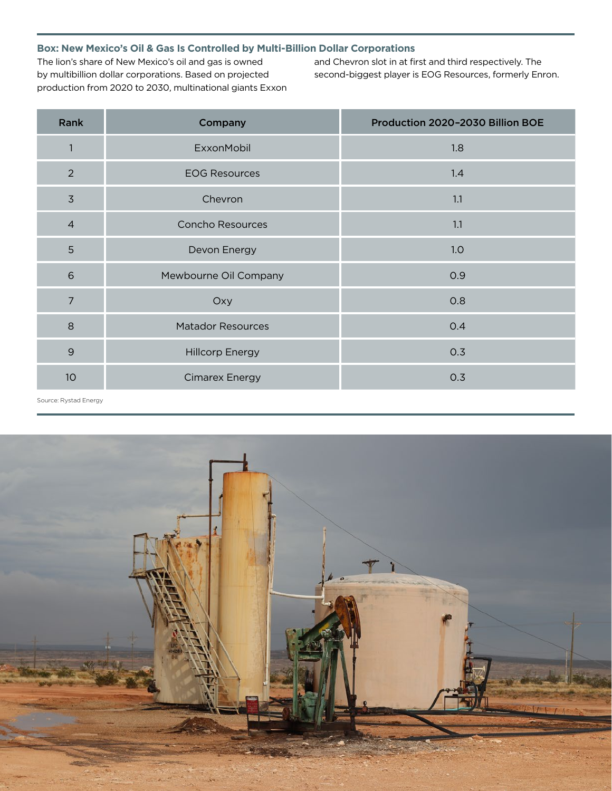### **Box: New Mexico's Oil & Gas Is Controlled by Multi-Billion Dollar Corporations**

The lion's share of New Mexico's oil and gas is owned by multibillion dollar corporations. Based on projected production from 2020 to 2030, multinational giants Exxon and Chevron slot in at first and third respectively. The second-biggest player is EOG Resources, formerly Enron.

| Rank           | Company                  | Production 2020-2030 Billion BOE |
|----------------|--------------------------|----------------------------------|
| $\mathbf{1}$   | ExxonMobil               | 1.8                              |
| $\overline{2}$ | <b>EOG Resources</b>     | 1.4                              |
| $\overline{3}$ | Chevron                  | 1.1                              |
| $\overline{4}$ | <b>Concho Resources</b>  | 1.1                              |
| 5              | Devon Energy             | 1.0                              |
| 6              | Mewbourne Oil Company    | 0.9                              |
| $\overline{7}$ | Oxy                      | 0.8                              |
| 8              | <b>Matador Resources</b> | 0.4                              |
| $\overline{9}$ | <b>Hillcorp Energy</b>   | 0.3                              |
| 10             | <b>Cimarex Energy</b>    | 0.3                              |

Source: Rystad Energy

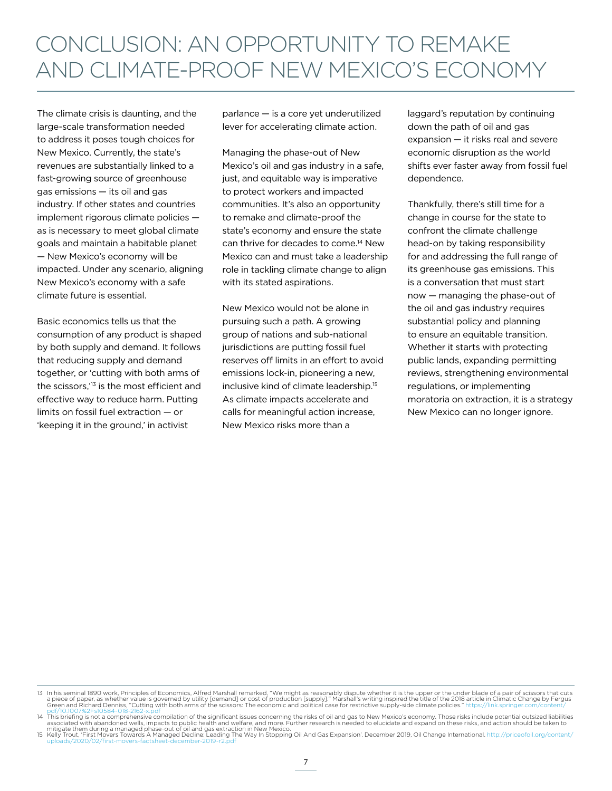The climate crisis is daunting, and the large-scale transformation needed to address it poses tough choices for New Mexico. Currently, the state's revenues are substantially linked to a fast-growing source of greenhouse gas emissions — its oil and gas industry. If other states and countries implement rigorous climate policies as is necessary to meet global climate goals and maintain a habitable planet — New Mexico's economy will be impacted. Under any scenario, aligning New Mexico's economy with a safe climate future is essential.

Basic economics tells us that the consumption of any product is shaped by both supply and demand. It follows that reducing supply and demand together, or 'cutting with both arms of the scissors,'13 is the most efficient and effective way to reduce harm. Putting limits on fossil fuel extraction — or 'keeping it in the ground,' in activist

parlance — is a core yet underutilized lever for accelerating climate action.

Managing the phase-out of New Mexico's oil and gas industry in a safe, just, and equitable way is imperative to protect workers and impacted communities. It's also an opportunity to remake and climate-proof the state's economy and ensure the state can thrive for decades to come.<sup>14</sup> New Mexico can and must take a leadership role in tackling climate change to align with its stated aspirations.

New Mexico would not be alone in pursuing such a path. A growing group of nations and sub-national jurisdictions are putting fossil fuel reserves off limits in an effort to avoid emissions lock-in, pioneering a new, inclusive kind of climate leadership.15 As climate impacts accelerate and calls for meaningful action increase, New Mexico risks more than a

laggard's reputation by continuing down the path of oil and gas expansion — it risks real and severe economic disruption as the world shifts ever faster away from fossil fuel dependence.

Thankfully, there's still time for a change in course for the state to confront the climate challenge head-on by taking responsibility for and addressing the full range of its greenhouse gas emissions. This is a conversation that must start now — managing the phase-out of the oil and gas industry requires substantial policy and planning to ensure an equitable transition. Whether it starts with protecting public lands, expanding permitting reviews, strengthening environmental regulations, or implementing moratoria on extraction, it is a strategy New Mexico can no longer ignore.

<sup>13</sup> In his seminal 1890 work, Principles of Economics, Alfred Marshall remarked, "We might as reasonably dispute whether it is the upper or the under blade of a pair of scissors that cuts<br>a piece of paper, as whether value

<sup>14</sup> This briefing is not a comprehensive compilation of the significant issues concerning the risks of oil and gas to New Mexico's economy. Those risks include potential outsized liabilities<br>associated with abandoned wells,